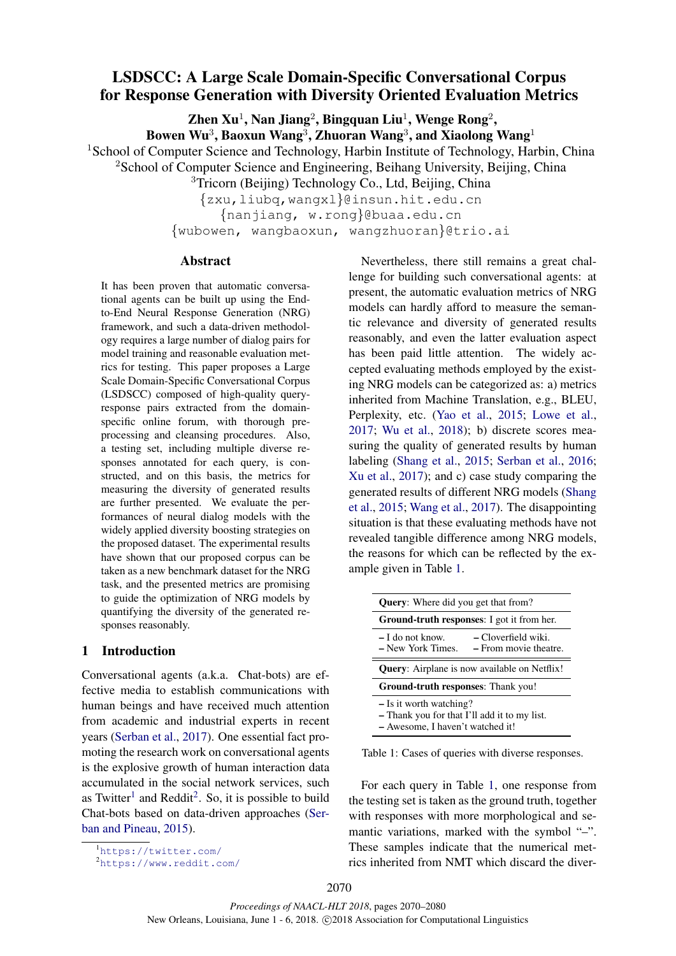# LSDSCC: A Large Scale Domain-Specific Conversational Corpus for Response Generation with Diversity Oriented Evaluation Metrics

Zhen Xu $^1$ , Nan Jiang $^2$ , Bingquan Liu $^1$ , Wenge Rong $^2$ ,

Bowen Wu $^3$ , Baoxun Wang $^3$ , Zhuoran Wang $^3$ , and Xiaolong Wang $^1$ 

<sup>1</sup>School of Computer Science and Technology, Harbin Institute of Technology, Harbin, China

<sup>2</sup>School of Computer Science and Engineering, Beihang University, Beijing, China

<sup>3</sup>Tricorn (Beijing) Technology Co., Ltd, Beijing, China

{zxu,liubq,wangxl}@insun.hit.edu.cn

{nanjiang, w.rong}@buaa.edu.cn

{wubowen, wangbaoxun, wangzhuoran}@trio.ai

# Abstract

It has been proven that automatic conversational agents can be built up using the Endto-End Neural Response Generation (NRG) framework, and such a data-driven methodology requires a large number of dialog pairs for model training and reasonable evaluation metrics for testing. This paper proposes a Large Scale Domain-Specific Conversational Corpus (LSDSCC) composed of high-quality queryresponse pairs extracted from the domainspecific online forum, with thorough preprocessing and cleansing procedures. Also, a testing set, including multiple diverse responses annotated for each query, is constructed, and on this basis, the metrics for measuring the diversity of generated results are further presented. We evaluate the performances of neural dialog models with the widely applied diversity boosting strategies on the proposed dataset. The experimental results have shown that our proposed corpus can be taken as a new benchmark dataset for the NRG task, and the presented metrics are promising to guide the optimization of NRG models by quantifying the diversity of the generated responses reasonably.

# 1 Introduction

Conversational agents (a.k.a. Chat-bots) are effective media to establish communications with human beings and have received much attention from academic and industrial experts in recent years (Serban et al., 2017). One essential fact promoting the research work on conversational agents is the explosive growth of human interaction data accumulated in the social network services, such as Twitter<sup>1</sup> and Reddit<sup>2</sup>. So, it is possible to build Chat-bots based on data-driven approaches (Serban and Pineau, 2015).

Nevertheless, there still remains a great challenge for building such conversational agents: at present, the automatic evaluation metrics of NRG models can hardly afford to measure the semantic relevance and diversity of generated results reasonably, and even the latter evaluation aspect has been paid little attention. The widely accepted evaluating methods employed by the existing NRG models can be categorized as: a) metrics inherited from Machine Translation, e.g., BLEU, Perplexity, etc. (Yao et al., 2015; Lowe et al., 2017; Wu et al., 2018); b) discrete scores measuring the quality of generated results by human labeling (Shang et al., 2015; Serban et al., 2016; Xu et al., 2017); and c) case study comparing the generated results of different NRG models (Shang et al., 2015; Wang et al., 2017). The disappointing situation is that these evaluating methods have not revealed tangible difference among NRG models, the reasons for which can be reflected by the example given in Table 1.

| <b>Query:</b> Where did you get that from?                                                                    |  |  |  |
|---------------------------------------------------------------------------------------------------------------|--|--|--|
| <b>Ground-truth responses:</b> I got it from her.                                                             |  |  |  |
| – Cloverfield wiki.<br>$-I$ do not know.<br>$-$ From movie theatre.<br>– New York Times.                      |  |  |  |
| <b>Query:</b> Airplane is now available on Netflix!                                                           |  |  |  |
| Ground-truth responses: Thank you!                                                                            |  |  |  |
| $-$ Is it worth watching?<br>- Thank you for that I'll add it to my list.<br>- Awesome, I haven't watched it! |  |  |  |

Table 1: Cases of queries with diverse responses.

For each query in Table 1, one response from the testing set is taken as the ground truth, together with responses with more morphological and semantic variations, marked with the symbol "-". These samples indicate that the numerical metrics inherited from NMT which discard the diver-

<sup>1</sup>https://twitter.com/

<sup>2</sup>https://www.reddit.com/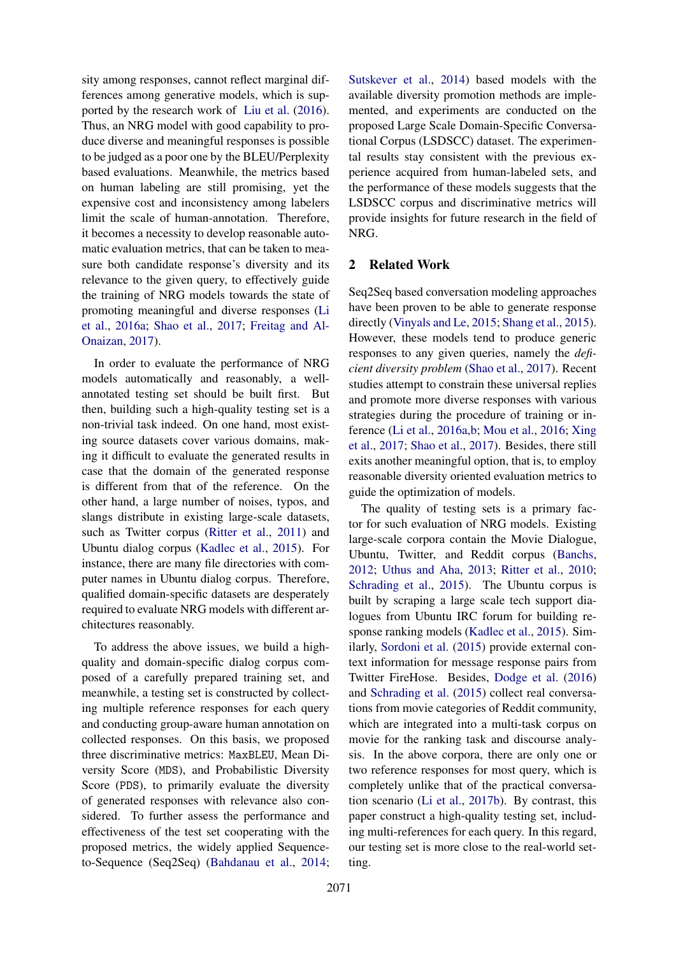sity among responses, cannot reflect marginal differences among generative models, which is supported by the research work of Liu et al. (2016). Thus, an NRG model with good capability to produce diverse and meaningful responses is possible to be judged as a poor one by the BLEU/Perplexity based evaluations. Meanwhile, the metrics based on human labeling are still promising, yet the expensive cost and inconsistency among labelers limit the scale of human-annotation. Therefore, it becomes a necessity to develop reasonable automatic evaluation metrics, that can be taken to measure both candidate response's diversity and its relevance to the given query, to effectively guide the training of NRG models towards the state of promoting meaningful and diverse responses (Li et al., 2016a; Shao et al., 2017; Freitag and Al-Onaizan, 2017).

In order to evaluate the performance of NRG models automatically and reasonably, a wellannotated testing set should be built first. But then, building such a high-quality testing set is a non-trivial task indeed. On one hand, most existing source datasets cover various domains, making it difficult to evaluate the generated results in case that the domain of the generated response is different from that of the reference. On the other hand, a large number of noises, typos, and slangs distribute in existing large-scale datasets, such as Twitter corpus (Ritter et al., 2011) and Ubuntu dialog corpus (Kadlec et al., 2015). For instance, there are many file directories with computer names in Ubuntu dialog corpus. Therefore, qualified domain-specific datasets are desperately required to evaluate NRG models with different architectures reasonably.

To address the above issues, we build a highquality and domain-specific dialog corpus composed of a carefully prepared training set, and meanwhile, a testing set is constructed by collecting multiple reference responses for each query and conducting group-aware human annotation on collected responses. On this basis, we proposed three discriminative metrics: MaxBLEU, Mean Diversity Score (MDS), and Probabilistic Diversity Score (PDS), to primarily evaluate the diversity of generated responses with relevance also considered. To further assess the performance and effectiveness of the test set cooperating with the proposed metrics, the widely applied Sequenceto-Sequence (Seq2Seq) (Bahdanau et al., 2014;

Sutskever et al., 2014) based models with the available diversity promotion methods are implemented, and experiments are conducted on the proposed Large Scale Domain-Specific Conversational Corpus (LSDSCC) dataset. The experimental results stay consistent with the previous experience acquired from human-labeled sets, and the performance of these models suggests that the LSDSCC corpus and discriminative metrics will provide insights for future research in the field of NRG.

## 2 Related Work

Seq2Seq based conversation modeling approaches have been proven to be able to generate response directly (Vinyals and Le, 2015; Shang et al., 2015). However, these models tend to produce generic responses to any given queries, namely the *deficient diversity problem* (Shao et al., 2017). Recent studies attempt to constrain these universal replies and promote more diverse responses with various strategies during the procedure of training or inference (Li et al., 2016a,b; Mou et al., 2016; Xing et al., 2017; Shao et al., 2017). Besides, there still exits another meaningful option, that is, to employ reasonable diversity oriented evaluation metrics to guide the optimization of models.

The quality of testing sets is a primary factor for such evaluation of NRG models. Existing large-scale corpora contain the Movie Dialogue, Ubuntu, Twitter, and Reddit corpus (Banchs, 2012; Uthus and Aha, 2013; Ritter et al., 2010; Schrading et al., 2015). The Ubuntu corpus is built by scraping a large scale tech support dialogues from Ubuntu IRC forum for building response ranking models (Kadlec et al., 2015). Similarly, Sordoni et al. (2015) provide external context information for message response pairs from Twitter FireHose. Besides, Dodge et al. (2016) and Schrading et al. (2015) collect real conversations from movie categories of Reddit community, which are integrated into a multi-task corpus on movie for the ranking task and discourse analysis. In the above corpora, there are only one or two reference responses for most query, which is completely unlike that of the practical conversation scenario (Li et al., 2017b). By contrast, this paper construct a high-quality testing set, including multi-references for each query. In this regard, our testing set is more close to the real-world setting.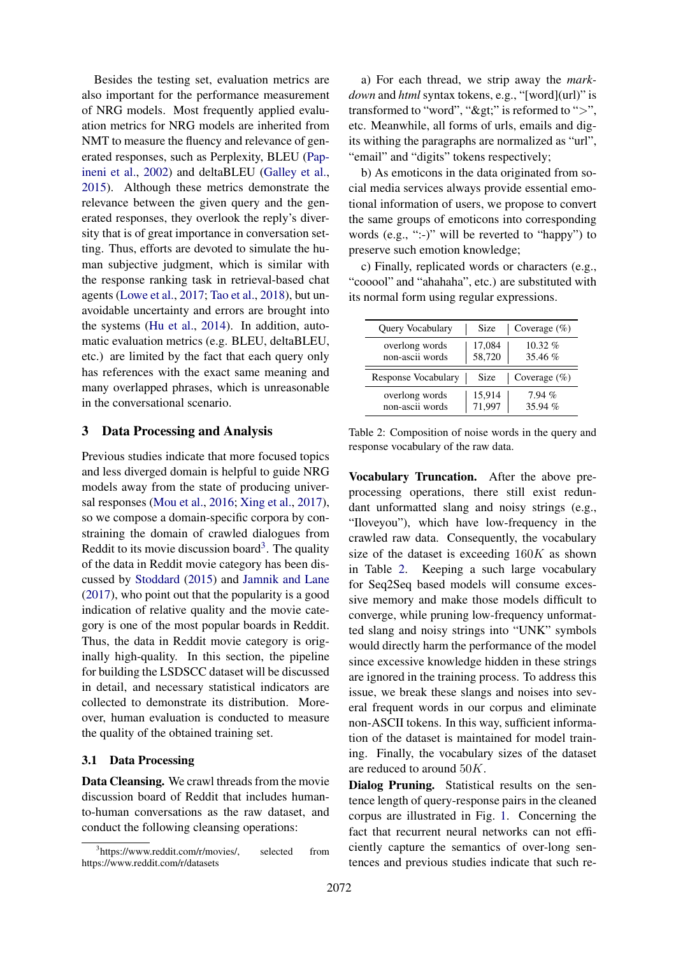Besides the testing set, evaluation metrics are also important for the performance measurement of NRG models. Most frequently applied evaluation metrics for NRG models are inherited from NMT to measure the fluency and relevance of generated responses, such as Perplexity, BLEU (Papineni et al., 2002) and deltaBLEU (Galley et al., 2015). Although these metrics demonstrate the relevance between the given query and the generated responses, they overlook the reply's diversity that is of great importance in conversation setting. Thus, efforts are devoted to simulate the human subjective judgment, which is similar with the response ranking task in retrieval-based chat agents (Lowe et al., 2017; Tao et al., 2018), but unavoidable uncertainty and errors are brought into the systems (Hu et al., 2014). In addition, automatic evaluation metrics (e.g. BLEU, deltaBLEU, etc.) are limited by the fact that each query only has references with the exact same meaning and many overlapped phrases, which is unreasonable in the conversational scenario.

#### 3 Data Processing and Analysis

Previous studies indicate that more focused topics and less diverged domain is helpful to guide NRG models away from the state of producing universal responses (Mou et al., 2016; Xing et al., 2017), so we compose a domain-specific corpora by constraining the domain of crawled dialogues from Reddit to its movie discussion board<sup>3</sup>. The quality of the data in Reddit movie category has been discussed by Stoddard (2015) and Jamnik and Lane (2017), who point out that the popularity is a good indication of relative quality and the movie category is one of the most popular boards in Reddit. Thus, the data in Reddit movie category is originally high-quality. In this section, the pipeline for building the LSDSCC dataset will be discussed in detail, and necessary statistical indicators are collected to demonstrate its distribution. Moreover, human evaluation is conducted to measure the quality of the obtained training set.

#### 3.1 Data Processing

Data Cleansing. We crawl threads from the movie discussion board of Reddit that includes humanto-human conversations as the raw dataset, and conduct the following cleansing operations:

a) For each thread, we strip away the *markdown* and *html* syntax tokens, e.g., "[word](url)" is transformed to "word", " $\&$ gt;" is reformed to ">", etc. Meanwhile, all forms of urls, emails and digits withing the paragraphs are normalized as "url", "email" and "digits" tokens respectively;

b) As emoticons in the data originated from social media services always provide essential emotional information of users, we propose to convert the same groups of emoticons into corresponding words (e.g., ":-)" will be reverted to "happy") to preserve such emotion knowledge;

c) Finally, replicated words or characters (e.g., "cooool" and "ahahaha", etc.) are substituted with its normal form using regular expressions.

| Query Vocabulary                  | Size             | Coverage $(\%)$      |
|-----------------------------------|------------------|----------------------|
| overlong words<br>non-ascii words | 17,084<br>58,720 | $10.32\%$<br>35.46 % |
|                                   |                  |                      |
| Response Vocabulary               | Size             | Coverage $(\%)$      |

Table 2: Composition of noise words in the query and response vocabulary of the raw data.

Vocabulary Truncation. After the above preprocessing operations, there still exist redundant unformatted slang and noisy strings (e.g., "Iloveyou"), which have low-frequency in the crawled raw data. Consequently, the vocabulary size of the dataset is exceeding  $160K$  as shown in Table 2. Keeping a such large vocabulary for Seq2Seq based models will consume excessive memory and make those models difficult to converge, while pruning low-frequency unformatted slang and noisy strings into "UNK" symbols would directly harm the performance of the model since excessive knowledge hidden in these strings are ignored in the training process. To address this issue, we break these slangs and noises into several frequent words in our corpus and eliminate non-ASCII tokens. In this way, sufficient information of the dataset is maintained for model training. Finally, the vocabulary sizes of the dataset are reduced to around 50K.

Dialog Pruning. Statistical results on the sentence length of query-response pairs in the cleaned corpus are illustrated in Fig. 1. Concerning the fact that recurrent neural networks can not efficiently capture the semantics of over-long sentences and previous studies indicate that such re-

<sup>&</sup>lt;sup>3</sup>https://www.reddit.com/r/movies/, selected from https://www.reddit.com/r/datasets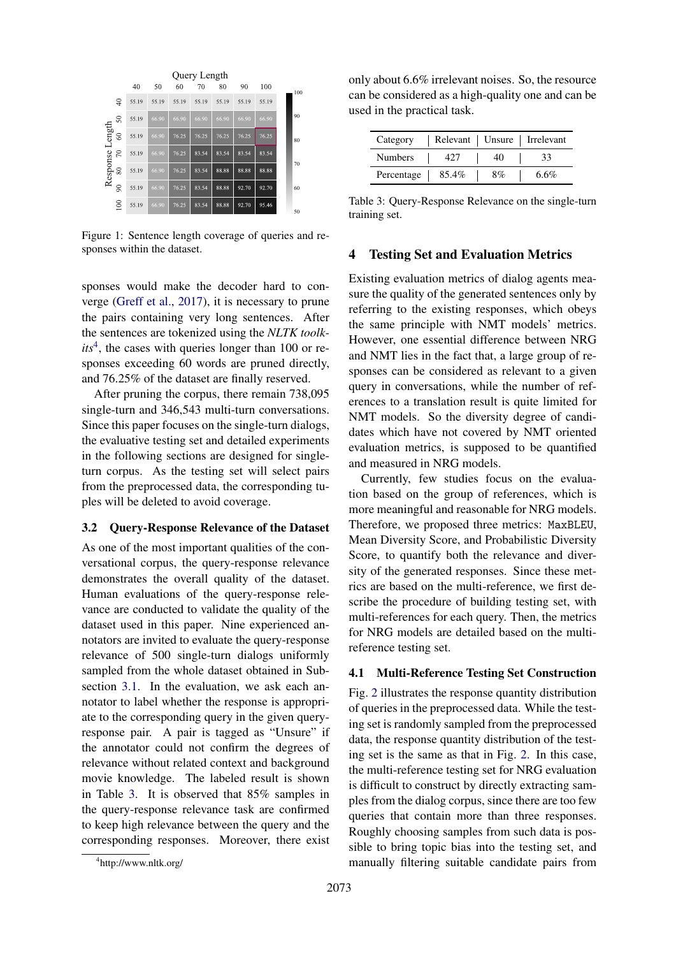

Figure 1: Sentence length coverage of queries and responses within the dataset.

sponses would make the decoder hard to converge (Greff et al., 2017), it is necessary to prune the pairs containing very long sentences. After the sentences are tokenized using the *NLTK toolk*its<sup>4</sup>, the cases with queries longer than 100 or responses exceeding 60 words are pruned directly, and 76.25% of the dataset are finally reserved.

After pruning the corpus, there remain 738,095 single-turn and 346,543 multi-turn conversations. Since this paper focuses on the single-turn dialogs, the evaluative testing set and detailed experiments in the following sections are designed for singleturn corpus. As the testing set will select pairs from the preprocessed data, the corresponding tuples will be deleted to avoid coverage.

#### 3.2 Query-Response Relevance of the Dataset

As one of the most important qualities of the conversational corpus, the query-response relevance demonstrates the overall quality of the dataset. Human evaluations of the query-response relevance are conducted to validate the quality of the dataset used in this paper. Nine experienced annotators are invited to evaluate the query-response relevance of 500 single-turn dialogs uniformly sampled from the whole dataset obtained in Subsection 3.1. In the evaluation, we ask each annotator to label whether the response is appropriate to the corresponding query in the given queryresponse pair. A pair is tagged as "Unsure" if the annotator could not confirm the degrees of relevance without related context and background movie knowledge. The labeled result is shown in Table 3. It is observed that 85% samples in the query-response relevance task are confirmed to keep high relevance between the query and the corresponding responses. Moreover, there exist

only about 6.6% irrelevant noises. So, the resource can be considered as a high-quality one and can be used in the practical task.

| Category       |       |    | Relevant   Unsure   Irrelevant |
|----------------|-------|----|--------------------------------|
| <b>Numbers</b> |       | 40 | 33                             |
| Percentage     | 85.4% | 8% | 6.6%                           |

Table 3: Query-Response Relevance on the single-turn training set.

# 4 Testing Set and Evaluation Metrics

Existing evaluation metrics of dialog agents measure the quality of the generated sentences only by referring to the existing responses, which obeys the same principle with NMT models' metrics. However, one essential difference between NRG and NMT lies in the fact that, a large group of responses can be considered as relevant to a given query in conversations, while the number of references to a translation result is quite limited for NMT models. So the diversity degree of candidates which have not covered by NMT oriented evaluation metrics, is supposed to be quantified and measured in NRG models.

Currently, few studies focus on the evaluation based on the group of references, which is more meaningful and reasonable for NRG models. Therefore, we proposed three metrics: MaxBLEU, Mean Diversity Score, and Probabilistic Diversity Score, to quantify both the relevance and diversity of the generated responses. Since these metrics are based on the multi-reference, we first describe the procedure of building testing set, with multi-references for each query. Then, the metrics for NRG models are detailed based on the multireference testing set.

#### 4.1 Multi-Reference Testing Set Construction

Fig. 2 illustrates the response quantity distribution of queries in the preprocessed data. While the testing set is randomly sampled from the preprocessed data, the response quantity distribution of the testing set is the same as that in Fig. 2. In this case, the multi-reference testing set for NRG evaluation is difficult to construct by directly extracting samples from the dialog corpus, since there are too few queries that contain more than three responses. Roughly choosing samples from such data is possible to bring topic bias into the testing set, and manually filtering suitable candidate pairs from

<sup>4</sup> http://www.nltk.org/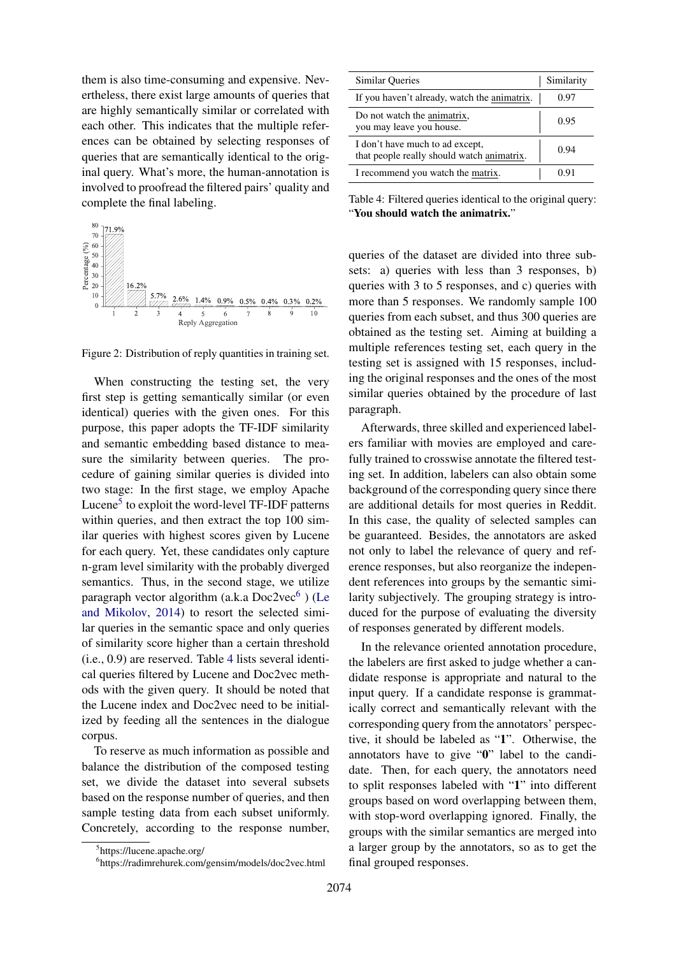them is also time-consuming and expensive. Nevertheless, there exist large amounts of queries that are highly semantically similar or correlated with each other. This indicates that the multiple references can be obtained by selecting responses of queries that are semantically identical to the original query. What's more, the human-annotation is involved to proofread the filtered pairs' quality and complete the final labeling.



Figure 2: Distribution of reply quantities in training set.

When constructing the testing set, the very first step is getting semantically similar (or even identical) queries with the given ones. For this purpose, this paper adopts the TF-IDF similarity and semantic embedding based distance to measure the similarity between queries. The procedure of gaining similar queries is divided into two stage: In the first stage, we employ Apache Lucene<sup>5</sup> to exploit the word-level TF-IDF patterns within queries, and then extract the top 100 similar queries with highest scores given by Lucene for each query. Yet, these candidates only capture n-gram level similarity with the probably diverged semantics. Thus, in the second stage, we utilize paragraph vector algorithm (a.k.a Doc2vec<sup>6</sup>) (Le and Mikolov, 2014) to resort the selected similar queries in the semantic space and only queries of similarity score higher than a certain threshold (i.e., 0.9) are reserved. Table 4 lists several identical queries filtered by Lucene and Doc2vec methods with the given query. It should be noted that the Lucene index and Doc2vec need to be initialized by feeding all the sentences in the dialogue corpus.

To reserve as much information as possible and balance the distribution of the composed testing set, we divide the dataset into several subsets based on the response number of queries, and then sample testing data from each subset uniformly. Concretely, according to the response number,

| Similar Queries                                                               | Similarity |
|-------------------------------------------------------------------------------|------------|
| If you haven't already, watch the animatrix.                                  | 0.97       |
| Do not watch the animatrix,<br>you may leave you house.                       | 0.95       |
| I don't have much to ad except,<br>that people really should watch animatrix. | 0.94       |
| I recommend you watch the matrix.                                             |            |

Table 4: Filtered queries identical to the original query: "You should watch the animatrix."

queries of the dataset are divided into three subsets: a) queries with less than 3 responses, b) queries with 3 to 5 responses, and c) queries with more than 5 responses. We randomly sample 100 queries from each subset, and thus 300 queries are obtained as the testing set. Aiming at building a multiple references testing set, each query in the testing set is assigned with 15 responses, including the original responses and the ones of the most similar queries obtained by the procedure of last paragraph.

Afterwards, three skilled and experienced labelers familiar with movies are employed and carefully trained to crosswise annotate the filtered testing set. In addition, labelers can also obtain some background of the corresponding query since there are additional details for most queries in Reddit. In this case, the quality of selected samples can be guaranteed. Besides, the annotators are asked not only to label the relevance of query and reference responses, but also reorganize the independent references into groups by the semantic similarity subjectively. The grouping strategy is introduced for the purpose of evaluating the diversity of responses generated by different models.

In the relevance oriented annotation procedure, the labelers are first asked to judge whether a candidate response is appropriate and natural to the input query. If a candidate response is grammatically correct and semantically relevant with the corresponding query from the annotators' perspective, it should be labeled as "1". Otherwise, the annotators have to give "0" label to the candidate. Then, for each query, the annotators need to split responses labeled with "1" into different groups based on word overlapping between them, with stop-word overlapping ignored. Finally, the groups with the similar semantics are merged into a larger group by the annotators, so as to get the final grouped responses.

<sup>5</sup> https://lucene.apache.org/

<sup>6</sup> https://radimrehurek.com/gensim/models/doc2vec.html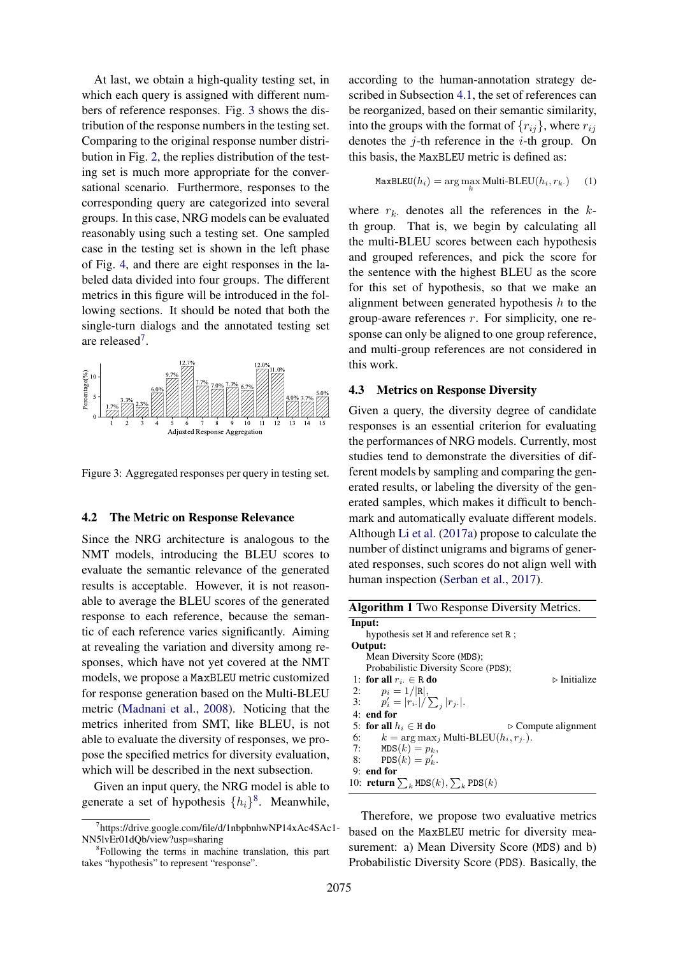At last, we obtain a high-quality testing set, in which each query is assigned with different numbers of reference responses. Fig. 3 shows the distribution of the response numbers in the testing set. Comparing to the original response number distribution in Fig. 2, the replies distribution of the testing set is much more appropriate for the conversational scenario. Furthermore, responses to the corresponding query are categorized into several groups. In this case, NRG models can be evaluated reasonably using such a testing set. One sampled case in the testing set is shown in the left phase of Fig. 4, and there are eight responses in the labeled data divided into four groups. The different metrics in this figure will be introduced in the following sections. It should be noted that both the single-turn dialogs and the annotated testing set are released<sup>7</sup>.



Figure 3: Aggregated responses per query in testing set.

#### 4.2 The Metric on Response Relevance

Since the NRG architecture is analogous to the NMT models, introducing the BLEU scores to evaluate the semantic relevance of the generated results is acceptable. However, it is not reasonable to average the BLEU scores of the generated response to each reference, because the semantic of each reference varies significantly. Aiming at revealing the variation and diversity among responses, which have not yet covered at the NMT models, we propose a MaxBLEU metric customized for response generation based on the Multi-BLEU metric (Madnani et al., 2008). Noticing that the metrics inherited from SMT, like BLEU, is not able to evaluate the diversity of responses, we propose the specified metrics for diversity evaluation, which will be described in the next subsection.

Given an input query, the NRG model is able to generate a set of hypothesis  $\{h_i\}^8$ . Meanwhile,

according to the human-annotation strategy described in Subsection 4.1, the set of references can be reorganized, based on their semantic similarity, into the groups with the format of  $\{r_{ij}\}\,$ , where  $r_{ij}$ denotes the  $j$ -th reference in the  $i$ -th group. On this basis, the MaxBLEU metric is defined as:

$$
MaxBLEU(h_i) = \arg\max_{k} Multi-BLEU(h_i, r_k.)
$$
 (1)

where  $r_k$  denotes all the references in the  $k$ th group. That is, we begin by calculating all the multi-BLEU scores between each hypothesis and grouped references, and pick the score for the sentence with the highest BLEU as the score for this set of hypothesis, so that we make an alignment between generated hypothesis  $h$  to the group-aware references  $r$ . For simplicity, one response can only be aligned to one group reference, and multi-group references are not considered in this work.

#### 4.3 Metrics on Response Diversity

Given a query, the diversity degree of candidate responses is an essential criterion for evaluating the performances of NRG models. Currently, most studies tend to demonstrate the diversities of different models by sampling and comparing the generated results, or labeling the diversity of the generated samples, which makes it difficult to benchmark and automatically evaluate different models. Although Li et al. (2017a) propose to calculate the number of distinct unigrams and bigrams of generated responses, such scores do not align well with human inspection (Serban et al., 2017).

| <b>Algorithm 1</b> Two Response Diversity Metrics.                |  |  |  |  |
|-------------------------------------------------------------------|--|--|--|--|
| Input:                                                            |  |  |  |  |
| hypothesis set H and reference set R;                             |  |  |  |  |
| Output:                                                           |  |  |  |  |
| Mean Diversity Score (MDS);                                       |  |  |  |  |
| Probabilistic Diversity Score (PDS);                              |  |  |  |  |
| $\triangleright$ Initialize<br>1: for all $r_i \in \mathbb{R}$ do |  |  |  |  |
| 2: $p_i = 1/ \mathbf{R} ,$                                        |  |  |  |  |
| 3: $p'_i =  r_{i\cdot}  / \sum_i  r_{j\cdot} .$                   |  |  |  |  |
| $4:$ end for                                                      |  |  |  |  |
| 5: for all $h_i \in H$ do<br>$\triangleright$ Compute alignment   |  |  |  |  |
| 6: $k = \arg \max_i$ Multi-BLEU( $h_i, r_i$ ).                    |  |  |  |  |
| 7: $MDS(k) = p_k$ ,                                               |  |  |  |  |
| 8: PDS $(k) = p'_k$ .                                             |  |  |  |  |
| $9:$ end for                                                      |  |  |  |  |
| 10: <b>return</b> $\sum_k \text{MDS}(k), \sum_k \text{PDS}(k)$    |  |  |  |  |

Therefore, we propose two evaluative metrics based on the MaxBLEU metric for diversity measurement: a) Mean Diversity Score (MDS) and b) Probabilistic Diversity Score (PDS). Basically, the

<sup>7</sup> https://drive.google.com/file/d/1nbpbnhwNP14xAc4SAc1- NN5lvEr01dQb/view?usp=sharing

<sup>&</sup>lt;sup>8</sup>Following the terms in machine translation, this part takes "hypothesis" to represent "response".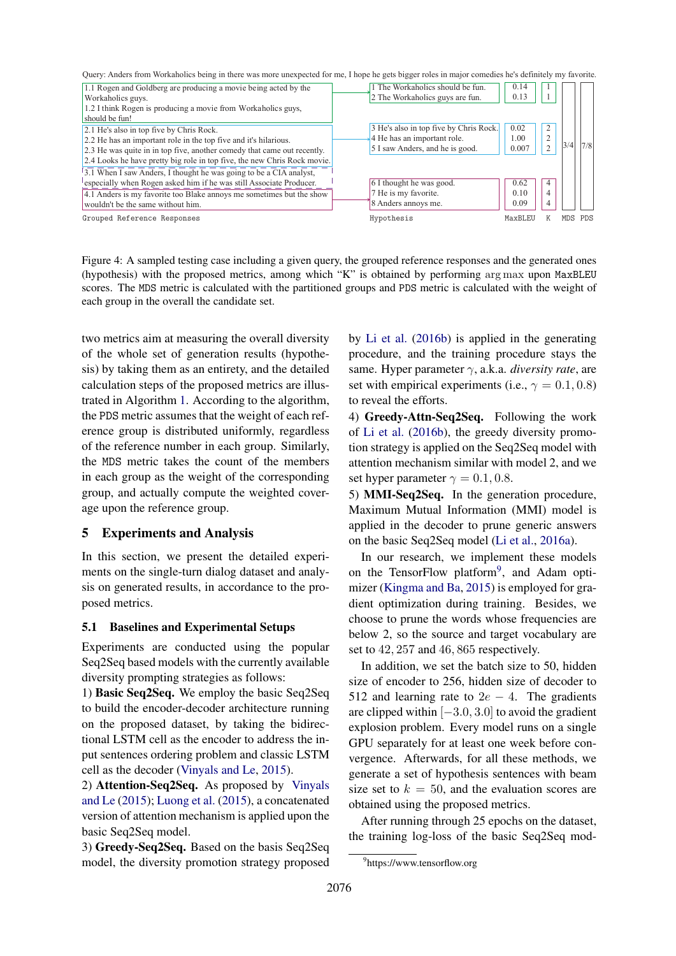Query: Anders from Workaholics being in there was more unexpected for me, I hope he gets bigger roles in major comedies he's definitely my favorite.

| 1.1 Rogen and Goldberg are producing a movie being acted by the<br>Workaholics guys.<br>1.2 I think Rogen is producing a movie from Workaholics guys,<br>should be fun!                                                                                                                                                                   | 1 The Workaholics should be fun.<br>2 The Workaholics guys are fun.                                      | 0.14<br>0.13                    |                                       |     |     |
|-------------------------------------------------------------------------------------------------------------------------------------------------------------------------------------------------------------------------------------------------------------------------------------------------------------------------------------------|----------------------------------------------------------------------------------------------------------|---------------------------------|---------------------------------------|-----|-----|
| 2.1 He's also in top five by Chris Rock.<br>2.2 He has an important role in the top five and it's hilarious.<br>2.3 He was quite in in top five, another comedy that came out recently.<br>2.4 Looks he have pretty big role in top five, the new Chris Rock movie.<br>3.1 When I saw Anders, I thought he was going to be a CIA analyst, | 3 He's also in top five by Chris Rock.<br>4 He has an important role.<br>5 I saw Anders, and he is good. | 0.02<br>1.00<br>0.007           | $\overline{c}$<br>2<br>$\overline{2}$ | 3/4 | 7/8 |
| especially when Rogen asked him if he was still Associate Producer.<br>4.1 Anders is my favorite too Blake annoys me sometimes but the show<br>wouldn't be the same without him.<br>Grouped Reference Responses                                                                                                                           | 6 I thought he was good.<br>7 He is my favorite.<br>8 Anders annoys me.<br>Hypothesis                    | 0.62<br>0.10<br>0.09<br>MaxBLEL | 4<br>4<br>4                           | MDS | PDS |

Figure 4: A sampled testing case including a given query, the grouped reference responses and the generated ones (hypothesis) with the proposed metrics, among which "K" is obtained by performing arg max upon MaxBLEU scores. The MDS metric is calculated with the partitioned groups and PDS metric is calculated with the weight of each group in the overall the candidate set.

two metrics aim at measuring the overall diversity of the whole set of generation results (hypothesis) by taking them as an entirety, and the detailed calculation steps of the proposed metrics are illustrated in Algorithm 1. According to the algorithm, the PDS metric assumes that the weight of each reference group is distributed uniformly, regardless of the reference number in each group. Similarly, the MDS metric takes the count of the members in each group as the weight of the corresponding group, and actually compute the weighted coverage upon the reference group.

# 5 Experiments and Analysis

In this section, we present the detailed experiments on the single-turn dialog dataset and analysis on generated results, in accordance to the proposed metrics.

## 5.1 Baselines and Experimental Setups

Experiments are conducted using the popular Seq2Seq based models with the currently available diversity prompting strategies as follows:

1) Basic Seq2Seq. We employ the basic Seq2Seq to build the encoder-decoder architecture running on the proposed dataset, by taking the bidirectional LSTM cell as the encoder to address the input sentences ordering problem and classic LSTM cell as the decoder (Vinyals and Le, 2015).

2) Attention-Seq2Seq. As proposed by Vinyals and Le (2015); Luong et al. (2015), a concatenated version of attention mechanism is applied upon the basic Seq2Seq model.

3) Greedy-Seq2Seq. Based on the basis Seq2Seq model, the diversity promotion strategy proposed by Li et al. (2016b) is applied in the generating procedure, and the training procedure stays the same. Hyper parameter γ, a.k.a. *diversity rate*, are set with empirical experiments (i.e.,  $\gamma = 0.1, 0.8$ ) to reveal the efforts.

4) Greedy-Attn-Seq2Seq. Following the work of Li et al. (2016b), the greedy diversity promotion strategy is applied on the Seq2Seq model with attention mechanism similar with model 2, and we set hyper parameter  $\gamma = 0.1, 0.8$ .

5) MMI-Seq2Seq. In the generation procedure, Maximum Mutual Information (MMI) model is applied in the decoder to prune generic answers on the basic Seq2Seq model (Li et al., 2016a).

In our research, we implement these models on the TensorFlow platform<sup>9</sup>, and Adam optimizer (Kingma and Ba, 2015) is employed for gradient optimization during training. Besides, we choose to prune the words whose frequencies are below 2, so the source and target vocabulary are set to 42, 257 and 46, 865 respectively.

In addition, we set the batch size to 50, hidden size of encoder to 256, hidden size of decoder to 512 and learning rate to  $2e - 4$ . The gradients are clipped within  $[-3.0, 3.0]$  to avoid the gradient explosion problem. Every model runs on a single GPU separately for at least one week before convergence. Afterwards, for all these methods, we generate a set of hypothesis sentences with beam size set to  $k = 50$ , and the evaluation scores are obtained using the proposed metrics.

After running through 25 epochs on the dataset, the training log-loss of the basic Seq2Seq mod-

<sup>9</sup> https://www.tensorflow.org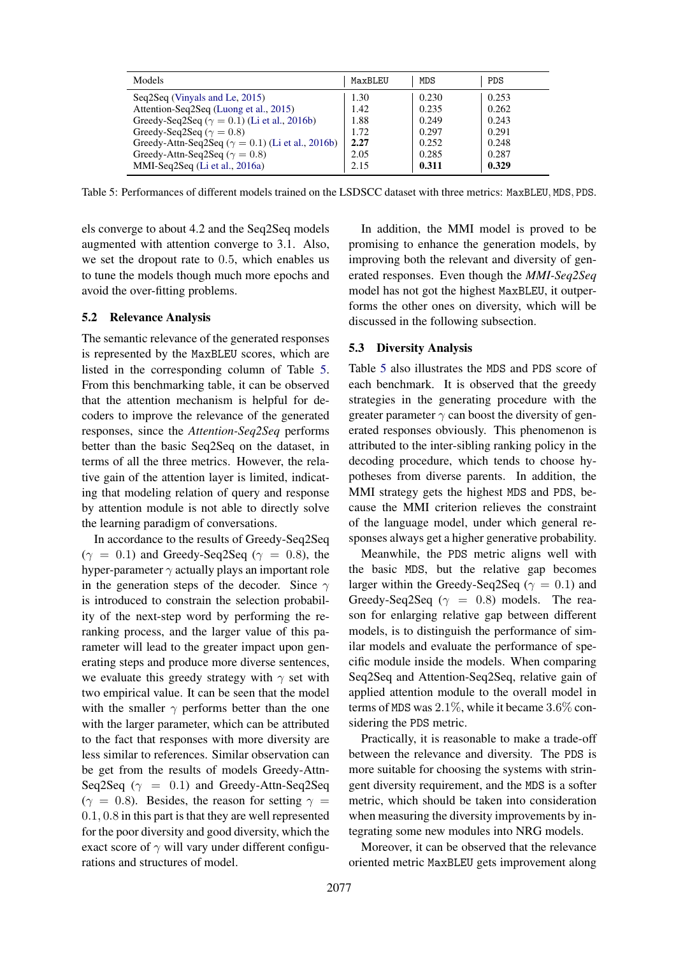| Models                                                                                         | MaxBLEU      | MDS            | PDS            |
|------------------------------------------------------------------------------------------------|--------------|----------------|----------------|
| Seq2Seq (Vinyals and Le, 2015)                                                                 | 1.30         | 0.230          | 0.253          |
| Attention-Seq2Seq (Luong et al., 2015)<br>Greedy-Seq2Seq ( $\gamma = 0.1$ ) (Li et al., 2016b) | 1.42<br>1.88 | 0.235<br>0.249 | 0.262<br>0.243 |
| Greedy-Seq2Seq ( $\gamma = 0.8$ )                                                              | 1.72         | 0.297          | 0.291          |
| Greedy-Attn-Seq2Seq ( $\gamma = 0.1$ ) (Li et al., 2016b)                                      | 2.27         | 0.252          | 0.248          |
| Greedy-Attn-Seq2Seq ( $\gamma = 0.8$ )<br>MMI-Seq2Seq (Li et al., 2016a)                       | 2.05<br>2.15 | 0.285<br>0.311 | 0.287<br>0.329 |

Table 5: Performances of different models trained on the LSDSCC dataset with three metrics: MaxBLEU, MDS, PDS.

els converge to about 4.2 and the Seq2Seq models augmented with attention converge to 3.1. Also, we set the dropout rate to 0.5, which enables us to tune the models though much more epochs and avoid the over-fitting problems.

#### 5.2 Relevance Analysis

The semantic relevance of the generated responses is represented by the MaxBLEU scores, which are listed in the corresponding column of Table 5. From this benchmarking table, it can be observed that the attention mechanism is helpful for decoders to improve the relevance of the generated responses, since the *Attention-Seq2Seq* performs better than the basic Seq2Seq on the dataset, in terms of all the three metrics. However, the relative gain of the attention layer is limited, indicating that modeling relation of query and response by attention module is not able to directly solve the learning paradigm of conversations.

In accordance to the results of Greedy-Seq2Seq  $(\gamma = 0.1)$  and Greedy-Seq2Seq ( $\gamma = 0.8$ ), the hyper-parameter  $\gamma$  actually plays an important role in the generation steps of the decoder. Since  $\gamma$ is introduced to constrain the selection probability of the next-step word by performing the reranking process, and the larger value of this parameter will lead to the greater impact upon generating steps and produce more diverse sentences, we evaluate this greedy strategy with  $\gamma$  set with two empirical value. It can be seen that the model with the smaller  $\gamma$  performs better than the one with the larger parameter, which can be attributed to the fact that responses with more diversity are less similar to references. Similar observation can be get from the results of models Greedy-Attn-Seq2Seq ( $\gamma = 0.1$ ) and Greedy-Attn-Seq2Seq  $(\gamma = 0.8)$ . Besides, the reason for setting  $\gamma =$ 0.1, 0.8 in this part is that they are well represented for the poor diversity and good diversity, which the exact score of  $\gamma$  will vary under different configurations and structures of model.

In addition, the MMI model is proved to be promising to enhance the generation models, by improving both the relevant and diversity of generated responses. Even though the *MMI-Seq2Seq* model has not got the highest MaxBLEU, it outperforms the other ones on diversity, which will be discussed in the following subsection.

#### 5.3 Diversity Analysis

Table 5 also illustrates the MDS and PDS score of each benchmark. It is observed that the greedy strategies in the generating procedure with the greater parameter  $\gamma$  can boost the diversity of generated responses obviously. This phenomenon is attributed to the inter-sibling ranking policy in the decoding procedure, which tends to choose hypotheses from diverse parents. In addition, the MMI strategy gets the highest MDS and PDS, because the MMI criterion relieves the constraint of the language model, under which general responses always get a higher generative probability.

Meanwhile, the PDS metric aligns well with the basic MDS, but the relative gap becomes larger within the Greedy-Seq2Seq ( $\gamma = 0.1$ ) and Greedy-Seq2Seq ( $\gamma = 0.8$ ) models. The reason for enlarging relative gap between different models, is to distinguish the performance of similar models and evaluate the performance of specific module inside the models. When comparing Seq2Seq and Attention-Seq2Seq, relative gain of applied attention module to the overall model in terms of MDS was  $2.1\%$ , while it became  $3.6\%$  considering the PDS metric.

Practically, it is reasonable to make a trade-off between the relevance and diversity. The PDS is more suitable for choosing the systems with stringent diversity requirement, and the MDS is a softer metric, which should be taken into consideration when measuring the diversity improvements by integrating some new modules into NRG models.

Moreover, it can be observed that the relevance oriented metric MaxBLEU gets improvement along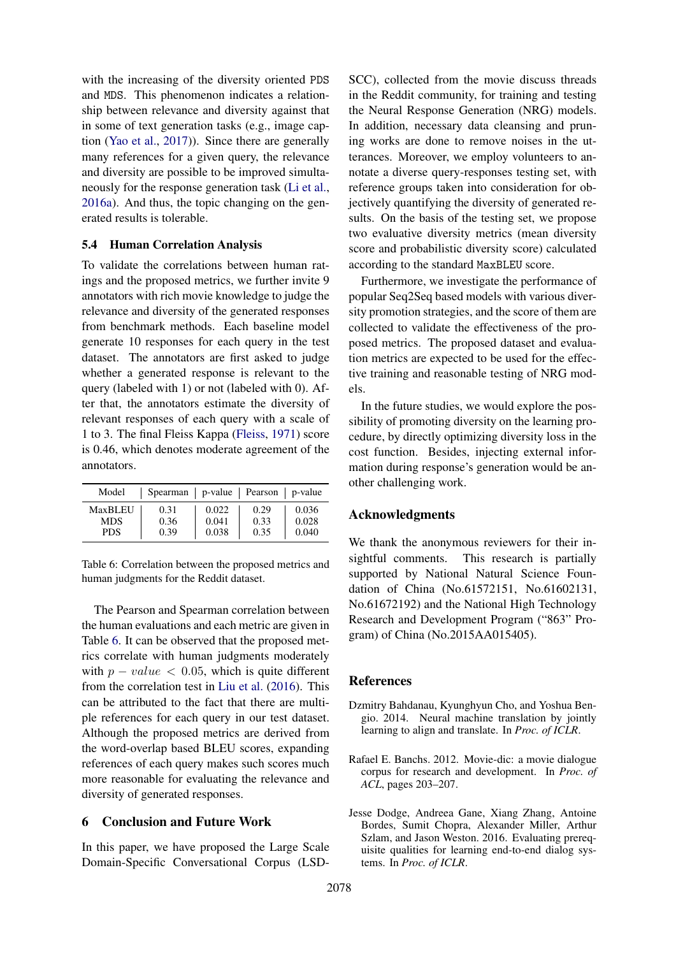with the increasing of the diversity oriented PDS and MDS. This phenomenon indicates a relationship between relevance and diversity against that in some of text generation tasks (e.g., image caption (Yao et al., 2017)). Since there are generally many references for a given query, the relevance and diversity are possible to be improved simultaneously for the response generation task (Li et al., 2016a). And thus, the topic changing on the generated results is tolerable.

# 5.4 Human Correlation Analysis

To validate the correlations between human ratings and the proposed metrics, we further invite 9 annotators with rich movie knowledge to judge the relevance and diversity of the generated responses from benchmark methods. Each baseline model generate 10 responses for each query in the test dataset. The annotators are first asked to judge whether a generated response is relevant to the query (labeled with 1) or not (labeled with 0). After that, the annotators estimate the diversity of relevant responses of each query with a scale of 1 to 3. The final Fleiss Kappa (Fleiss, 1971) score is 0.46, which denotes moderate agreement of the annotators.

| Model          | Spearman | p-value Pearson p-value |      |       |
|----------------|----------|-------------------------|------|-------|
| <b>MaxBLEU</b> | 0.31     | 0.022                   | 0.29 | 0.036 |
| <b>MDS</b>     | 0.36     | 0.041                   | 0.33 | 0.028 |
| <b>PDS</b>     | 0.39     | 0.038                   | 0.35 | 0.040 |

Table 6: Correlation between the proposed metrics and human judgments for the Reddit dataset.

The Pearson and Spearman correlation between the human evaluations and each metric are given in Table 6. It can be observed that the proposed metrics correlate with human judgments moderately with  $p - value < 0.05$ , which is quite different from the correlation test in Liu et al. (2016). This can be attributed to the fact that there are multiple references for each query in our test dataset. Although the proposed metrics are derived from the word-overlap based BLEU scores, expanding references of each query makes such scores much more reasonable for evaluating the relevance and diversity of generated responses.

#### 6 Conclusion and Future Work

In this paper, we have proposed the Large Scale Domain-Specific Conversational Corpus (LSD-

SCC), collected from the movie discuss threads in the Reddit community, for training and testing the Neural Response Generation (NRG) models. In addition, necessary data cleansing and pruning works are done to remove noises in the utterances. Moreover, we employ volunteers to annotate a diverse query-responses testing set, with reference groups taken into consideration for objectively quantifying the diversity of generated results. On the basis of the testing set, we propose two evaluative diversity metrics (mean diversity score and probabilistic diversity score) calculated according to the standard MaxBLEU score.

Furthermore, we investigate the performance of popular Seq2Seq based models with various diversity promotion strategies, and the score of them are collected to validate the effectiveness of the proposed metrics. The proposed dataset and evaluation metrics are expected to be used for the effective training and reasonable testing of NRG models.

In the future studies, we would explore the possibility of promoting diversity on the learning procedure, by directly optimizing diversity loss in the cost function. Besides, injecting external information during response's generation would be another challenging work.

#### Acknowledgments

We thank the anonymous reviewers for their insightful comments. This research is partially supported by National Natural Science Foundation of China (No.61572151, No.61602131, No.61672192) and the National High Technology Research and Development Program ("863" Program) of China (No.2015AA015405).

#### References

- Dzmitry Bahdanau, Kyunghyun Cho, and Yoshua Bengio. 2014. Neural machine translation by jointly learning to align and translate. In *Proc. of ICLR*.
- Rafael E. Banchs. 2012. Movie-dic: a movie dialogue corpus for research and development. In *Proc. of ACL*, pages 203–207.
- Jesse Dodge, Andreea Gane, Xiang Zhang, Antoine Bordes, Sumit Chopra, Alexander Miller, Arthur Szlam, and Jason Weston. 2016. Evaluating prerequisite qualities for learning end-to-end dialog systems. In *Proc. of ICLR*.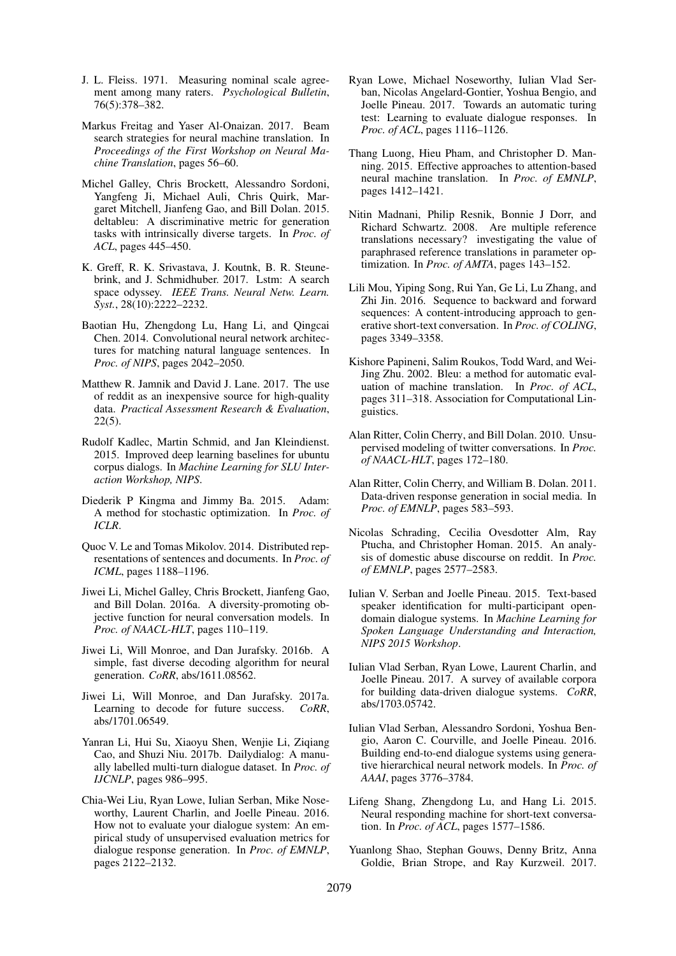- J. L. Fleiss. 1971. Measuring nominal scale agreement among many raters. *Psychological Bulletin*, 76(5):378–382.
- Markus Freitag and Yaser Al-Onaizan. 2017. Beam search strategies for neural machine translation. In *Proceedings of the First Workshop on Neural Machine Translation*, pages 56–60.
- Michel Galley, Chris Brockett, Alessandro Sordoni, Yangfeng Ji, Michael Auli, Chris Quirk, Margaret Mitchell, Jianfeng Gao, and Bill Dolan. 2015. deltableu: A discriminative metric for generation tasks with intrinsically diverse targets. In *Proc. of ACL*, pages 445–450.
- K. Greff, R. K. Srivastava, J. Koutnk, B. R. Steunebrink, and J. Schmidhuber. 2017. Lstm: A search space odyssey. *IEEE Trans. Neural Netw. Learn. Syst.*, 28(10):2222–2232.
- Baotian Hu, Zhengdong Lu, Hang Li, and Qingcai Chen. 2014. Convolutional neural network architectures for matching natural language sentences. In *Proc. of NIPS*, pages 2042–2050.
- Matthew R. Jamnik and David J. Lane. 2017. The use of reddit as an inexpensive source for high-quality data. *Practical Assessment Research & Evaluation*, 22(5).
- Rudolf Kadlec, Martin Schmid, and Jan Kleindienst. 2015. Improved deep learning baselines for ubuntu corpus dialogs. In *Machine Learning for SLU Interaction Workshop, NIPS*.
- Diederik P Kingma and Jimmy Ba. 2015. Adam: A method for stochastic optimization. In *Proc. of ICLR*.
- Quoc V. Le and Tomas Mikolov. 2014. Distributed representations of sentences and documents. In *Proc. of ICML*, pages 1188–1196.
- Jiwei Li, Michel Galley, Chris Brockett, Jianfeng Gao, and Bill Dolan. 2016a. A diversity-promoting objective function for neural conversation models. In *Proc. of NAACL-HLT*, pages 110–119.
- Jiwei Li, Will Monroe, and Dan Jurafsky. 2016b. A simple, fast diverse decoding algorithm for neural generation. *CoRR*, abs/1611.08562.
- Jiwei Li, Will Monroe, and Dan Jurafsky. 2017a. Learning to decode for future success. *CoRR*, abs/1701.06549.
- Yanran Li, Hui Su, Xiaoyu Shen, Wenjie Li, Ziqiang Cao, and Shuzi Niu. 2017b. Dailydialog: A manually labelled multi-turn dialogue dataset. In *Proc. of IJCNLP*, pages 986–995.
- Chia-Wei Liu, Ryan Lowe, Iulian Serban, Mike Noseworthy, Laurent Charlin, and Joelle Pineau. 2016. How not to evaluate your dialogue system: An empirical study of unsupervised evaluation metrics for dialogue response generation. In *Proc. of EMNLP*, pages 2122–2132.
- Ryan Lowe, Michael Noseworthy, Iulian Vlad Serban, Nicolas Angelard-Gontier, Yoshua Bengio, and Joelle Pineau. 2017. Towards an automatic turing test: Learning to evaluate dialogue responses. In *Proc. of ACL*, pages 1116–1126.
- Thang Luong, Hieu Pham, and Christopher D. Manning. 2015. Effective approaches to attention-based neural machine translation. In *Proc. of EMNLP*, pages 1412–1421.
- Nitin Madnani, Philip Resnik, Bonnie J Dorr, and Richard Schwartz. 2008. Are multiple reference translations necessary? investigating the value of paraphrased reference translations in parameter optimization. In *Proc. of AMTA*, pages 143–152.
- Lili Mou, Yiping Song, Rui Yan, Ge Li, Lu Zhang, and Zhi Jin. 2016. Sequence to backward and forward sequences: A content-introducing approach to generative short-text conversation. In *Proc. of COLING*, pages 3349–3358.
- Kishore Papineni, Salim Roukos, Todd Ward, and Wei-Jing Zhu. 2002. Bleu: a method for automatic evaluation of machine translation. In *Proc. of ACL*, pages 311–318. Association for Computational Linguistics.
- Alan Ritter, Colin Cherry, and Bill Dolan. 2010. Unsupervised modeling of twitter conversations. In *Proc. of NAACL-HLT*, pages 172–180.
- Alan Ritter, Colin Cherry, and William B. Dolan. 2011. Data-driven response generation in social media. In *Proc. of EMNLP*, pages 583–593.
- Nicolas Schrading, Cecilia Ovesdotter Alm, Ray Ptucha, and Christopher Homan. 2015. An analysis of domestic abuse discourse on reddit. In *Proc. of EMNLP*, pages 2577–2583.
- Iulian V. Serban and Joelle Pineau. 2015. Text-based speaker identification for multi-participant opendomain dialogue systems. In *Machine Learning for Spoken Language Understanding and Interaction, NIPS 2015 Workshop*.
- Iulian Vlad Serban, Ryan Lowe, Laurent Charlin, and Joelle Pineau. 2017. A survey of available corpora for building data-driven dialogue systems. *CoRR*, abs/1703.05742.
- Iulian Vlad Serban, Alessandro Sordoni, Yoshua Bengio, Aaron C. Courville, and Joelle Pineau. 2016. Building end-to-end dialogue systems using generative hierarchical neural network models. In *Proc. of AAAI*, pages 3776–3784.
- Lifeng Shang, Zhengdong Lu, and Hang Li. 2015. Neural responding machine for short-text conversation. In *Proc. of ACL*, pages 1577–1586.
- Yuanlong Shao, Stephan Gouws, Denny Britz, Anna Goldie, Brian Strope, and Ray Kurzweil. 2017.